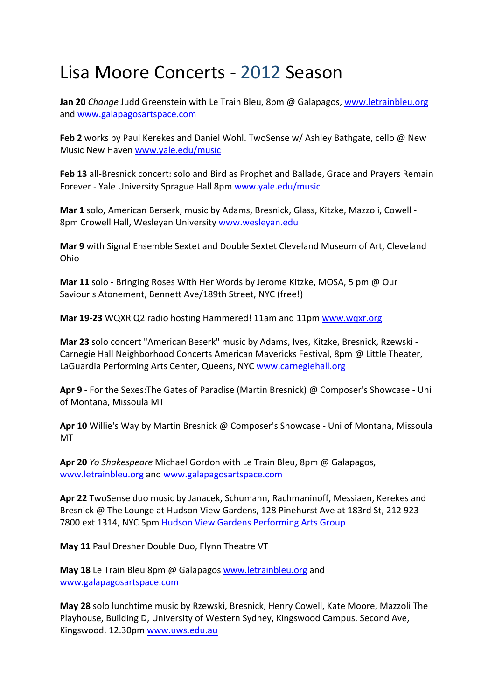## Lisa Moore Concerts ‐ 2012 Season

**Jan 20** *Change* Judd Greenstein with Le Train Bleu, 8pm @ Galapagos, www.letrainbleu.org and www.galapagosartspace.com

**Feb 2** works by Paul Kerekes and Daniel Wohl. TwoSense w/ Ashley Bathgate, cello @ New Music New Haven www.yale.edu/music

**Feb 13** all‐Bresnick concert: solo and Bird as Prophet and Ballade, Grace and Prayers Remain Forever ‐ Yale University Sprague Hall 8pm www.yale.edu/music

**Mar 1** solo, American Berserk, music by Adams, Bresnick, Glass, Kitzke, Mazzoli, Cowell ‐ 8pm Crowell Hall, Wesleyan University www.wesleyan.edu

**Mar 9** with Signal Ensemble Sextet and Double Sextet Cleveland Museum of Art, Cleveland Ohio

**Mar 11** solo ‐ Bringing Roses With Her Words by Jerome Kitzke, MOSA, 5 pm @ Our Saviour's Atonement, Bennett Ave/189th Street, NYC (free!)

**Mar 19‐23** WQXR Q2 radio hosting Hammered! 11am and 11pm www.wqxr.org

**Mar 23** solo concert "American Beserk" music by Adams, Ives, Kitzke, Bresnick, Rzewski ‐ Carnegie Hall Neighborhood Concerts American Mavericks Festival, 8pm @ Little Theater, LaGuardia Performing Arts Center, Queens, NYC www.carnegiehall.org

**Apr 9** ‐ For the Sexes:The Gates of Paradise (Martin Bresnick) @ Composer's Showcase ‐ Uni of Montana, Missoula MT

**Apr 10** Willie's Way by Martin Bresnick @ Composer's Showcase ‐ Uni of Montana, Missoula MT

**Apr 20** *Yo Shakespeare* Michael Gordon with Le Train Bleu, 8pm @ Galapagos, www.letrainbleu.org and www.galapagosartspace.com

**Apr 22** TwoSense duo music by Janacek, Schumann, Rachmaninoff, Messiaen, Kerekes and Bresnick @ The Lounge at Hudson View Gardens, 128 Pinehurst Ave at 183rd St, 212 923 7800 ext 1314, NYC 5pm Hudson View Gardens Performing Arts Group

**May 11** Paul Dresher Double Duo, Flynn Theatre VT

**May 18** Le Train Bleu 8pm @ Galapagos www.letrainbleu.org and www.galapagosartspace.com

**May 28** solo lunchtime music by Rzewski, Bresnick, Henry Cowell, Kate Moore, Mazzoli The Playhouse, Building D, University of Western Sydney, Kingswood Campus. Second Ave, Kingswood. 12.30pm www.uws.edu.au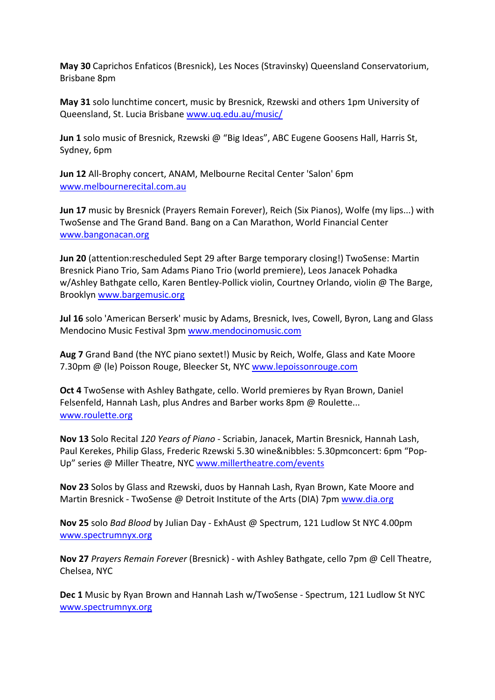**May 30** Caprichos Enfaticos (Bresnick), Les Noces (Stravinsky) Queensland Conservatorium, Brisbane 8pm

**May 31** solo lunchtime concert, music by Bresnick, Rzewski and others 1pm University of Queensland, St. Lucia Brisbane www.uq.edu.au/music/

**Jun 1** solo music of Bresnick, Rzewski @ "Big Ideas", ABC Eugene Goosens Hall, Harris St, Sydney, 6pm

**Jun 12** All‐Brophy concert, ANAM, Melbourne Recital Center 'Salon' 6pm www.melbournerecital.com.au

**Jun 17** music by Bresnick (Prayers Remain Forever), Reich (Six Pianos), Wolfe (my lips...) with TwoSense and The Grand Band. Bang on a Can Marathon, World Financial Center www.bangonacan.org

**Jun 20** (attention:rescheduled Sept 29 after Barge temporary closing!) TwoSense: Martin Bresnick Piano Trio, Sam Adams Piano Trio (world premiere), Leos Janacek Pohadka w/Ashley Bathgate cello, Karen Bentley-Pollick violin, Courtney Orlando, violin @ The Barge, Brooklyn www.bargemusic.org

**Jul 16** solo 'American Berserk' music by Adams, Bresnick, Ives, Cowell, Byron, Lang and Glass Mendocino Music Festival 3pm www.mendocinomusic.com

**Aug 7** Grand Band (the NYC piano sextet!) Music by Reich, Wolfe, Glass and Kate Moore 7.30pm @ (le) Poisson Rouge, Bleecker St, NYC www.lepoissonrouge.com

**Oct 4** TwoSense with Ashley Bathgate, cello. World premieres by Ryan Brown, Daniel Felsenfeld, Hannah Lash, plus Andres and Barber works 8pm @ Roulette... www.roulette.org

**Nov 13** Solo Recital *120 Years of Piano* ‐ Scriabin, Janacek, Martin Bresnick, Hannah Lash, Paul Kerekes, Philip Glass, Frederic Rzewski 5.30 wine&nibbles: 5.30pmconcert: 6pm "Pop‐ Up" series @ Miller Theatre, NYC www.millertheatre.com/events

**Nov 23** Solos by Glass and Rzewski, duos by Hannah Lash, Ryan Brown, Kate Moore and Martin Bresnick - TwoSense @ Detroit Institute of the Arts (DIA) 7pm www.dia.org

**Nov 25** solo *Bad Blood* by Julian Day ‐ ExhAust @ Spectrum, 121 Ludlow St NYC 4.00pm www.spectrumnyx.org

**Nov 27** *Prayers Remain Forever* (Bresnick) ‐ with Ashley Bathgate, cello 7pm @ Cell Theatre, Chelsea, NYC

**Dec 1** Music by Ryan Brown and Hannah Lash w/TwoSense ‐ Spectrum, 121 Ludlow St NYC www.spectrumnyx.org